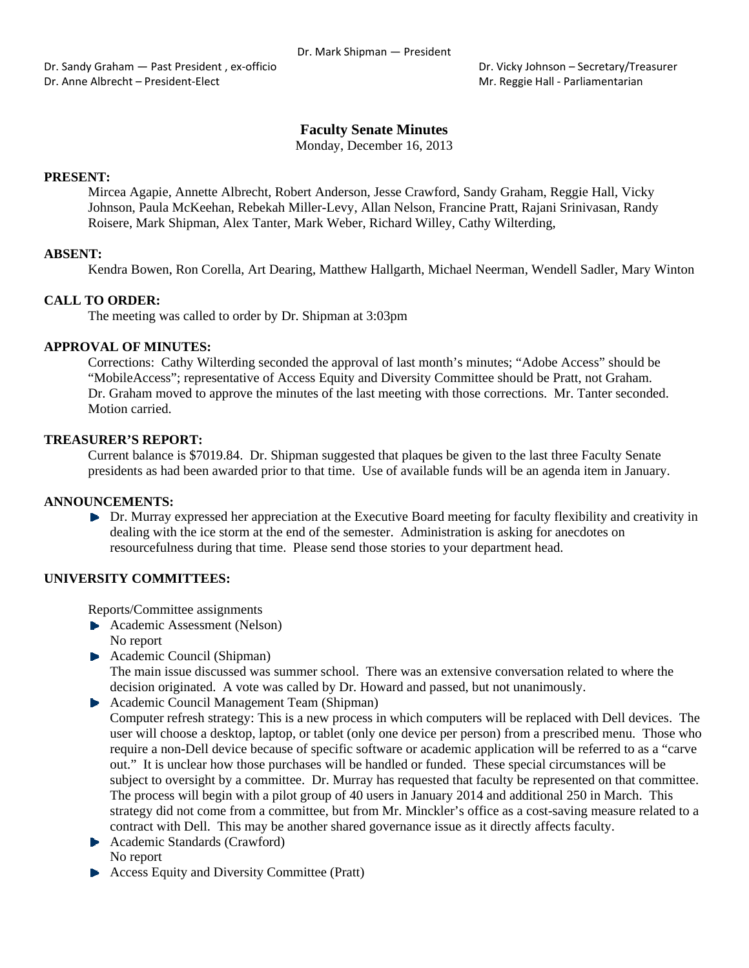Dr. Sandy Graham — Past President , ex-officio **Braham - Past President , ex**-officio **Braham - Secretary/Treasurer** Dr. Anne Albrecht – President‐Elect Mr. Reggie Hall ‐ Parliamentarian

# **Faculty Senate Minutes**

Monday, December 16, 2013

### **PRESENT:**

Mircea Agapie, Annette Albrecht, Robert Anderson, Jesse Crawford, Sandy Graham, Reggie Hall, Vicky Johnson, Paula McKeehan, Rebekah Miller-Levy, Allan Nelson, Francine Pratt, Rajani Srinivasan, Randy Roisere, Mark Shipman, Alex Tanter, Mark Weber, Richard Willey, Cathy Wilterding,

### **ABSENT:**

Kendra Bowen, Ron Corella, Art Dearing, Matthew Hallgarth, Michael Neerman, Wendell Sadler, Mary Winton

### **CALL TO ORDER:**

The meeting was called to order by Dr. Shipman at 3:03pm

# **APPROVAL OF MINUTES:**

Corrections: Cathy Wilterding seconded the approval of last month's minutes; "Adobe Access" should be "MobileAccess"; representative of Access Equity and Diversity Committee should be Pratt, not Graham. Dr. Graham moved to approve the minutes of the last meeting with those corrections. Mr. Tanter seconded. Motion carried.

### **TREASURER'S REPORT:**

Current balance is \$7019.84. Dr. Shipman suggested that plaques be given to the last three Faculty Senate presidents as had been awarded prior to that time. Use of available funds will be an agenda item in January.

#### **ANNOUNCEMENTS:**

Dr. Murray expressed her appreciation at the Executive Board meeting for faculty flexibility and creativity in dealing with the ice storm at the end of the semester. Administration is asking for anecdotes on resourcefulness during that time. Please send those stories to your department head.

### **UNIVERSITY COMMITTEES:**

Reports/Committee assignments

- Academic Assessment (Nelson) No report
- ▶ Academic Council (Shipman) The main issue discussed was summer school. There was an extensive conversation related to where the decision originated. A vote was called by Dr. Howard and passed, but not unanimously.
- Academic Council Management Team (Shipman) Computer refresh strategy: This is a new process in which computers will be replaced with Dell devices. The user will choose a desktop, laptop, or tablet (only one device per person) from a prescribed menu. Those who require a non-Dell device because of specific software or academic application will be referred to as a "carve out." It is unclear how those purchases will be handled or funded. These special circumstances will be subject to oversight by a committee. Dr. Murray has requested that faculty be represented on that committee. The process will begin with a pilot group of 40 users in January 2014 and additional 250 in March. This strategy did not come from a committee, but from Mr. Minckler's office as a cost-saving measure related to a contract with Dell. This may be another shared governance issue as it directly affects faculty.
- **Academic Standards (Crawford)** No report
- Access Equity and Diversity Committee (Pratt)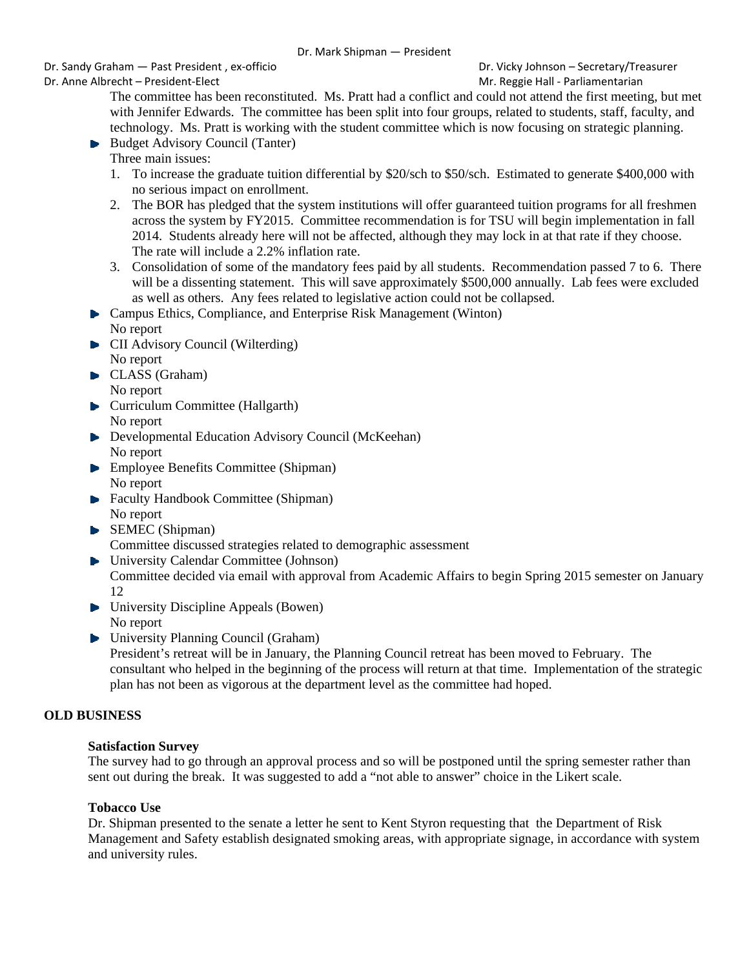Dr. Sandy Graham — Past President , ex‐officio Dr. Vicky Johnson – Secretary/Treasurer

Dr. Anne Albrecht – President-Elect **Mr. Reggie Hall - Parliamentarian** Mr. Reggie Hall - Parliamentarian

The committee has been reconstituted. Ms. Pratt had a conflict and could not attend the first meeting, but met with Jennifer Edwards. The committee has been split into four groups, related to students, staff, faculty, and technology. Ms. Pratt is working with the student committee which is now focusing on strategic planning.

- $\blacktriangleright$  Budget Advisory Council (Tanter)
	- Three main issues:
	- 1. To increase the graduate tuition differential by \$20/sch to \$50/sch. Estimated to generate \$400,000 with no serious impact on enrollment.
	- 2. The BOR has pledged that the system institutions will offer guaranteed tuition programs for all freshmen across the system by FY2015. Committee recommendation is for TSU will begin implementation in fall 2014. Students already here will not be affected, although they may lock in at that rate if they choose. The rate will include a 2.2% inflation rate.
	- 3. Consolidation of some of the mandatory fees paid by all students. Recommendation passed 7 to 6. There will be a dissenting statement. This will save approximately \$500,000 annually. Lab fees were excluded as well as others. Any fees related to legislative action could not be collapsed.
- Campus Ethics, Compliance, and Enterprise Risk Management (Winton) No report
- **CII** Advisory Council (Wilterding) No report
- CLASS (Graham) No report
- **Curriculum Committee (Hallgarth)** No report
- **Developmental Education Advisory Council (McKeehan)** No report
- ▶ Employee Benefits Committee (Shipman) No report
- **Faculty Handbook Committee (Shipman)** No report
- SEMEC (Shipman) Committee discussed strategies related to demographic assessment
- University Calendar Committee (Johnson) Committee decided via email with approval from Academic Affairs to begin Spring 2015 semester on January 12
- ▶ University Discipline Appeals (Bowen) No report
- ▶ University Planning Council (Graham)

President's retreat will be in January, the Planning Council retreat has been moved to February. The consultant who helped in the beginning of the process will return at that time. Implementation of the strategic plan has not been as vigorous at the department level as the committee had hoped.

# **OLD BUSINESS**

## **Satisfaction Survey**

The survey had to go through an approval process and so will be postponed until the spring semester rather than sent out during the break. It was suggested to add a "not able to answer" choice in the Likert scale.

# **Tobacco Use**

Dr. Shipman presented to the senate a letter he sent to Kent Styron requesting that the Department of Risk Management and Safety establish designated smoking areas, with appropriate signage, in accordance with system and university rules.